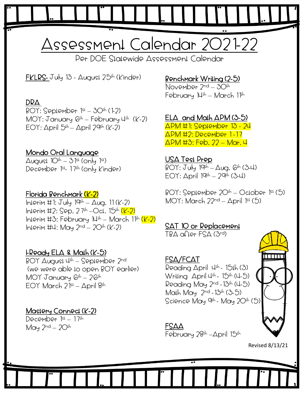# Assessment Calendar 2021-22

Per DOE Statewide Assessment Calendar

FKLRS- July 13 -  $\Delta u$ gust 25<sup>th</sup> (Kinder)

#### DRA

 $BOY: September 1<sup>st</sup> - 3O<sup>th</sup> (1-2)$  $MOY:$  January  $G<sup>th</sup> - Fe$ bruary 4<sup>th</sup> (K-2) EOY: April  $5<sup>th</sup> -$  April 29<sup>th</sup> (K-2)

#### Mondo Oral Language

August  $10^{1h} - 31^{sl}$  (only  $1^{sl}$ ) December 1st - 17th (only Kinder)

#### Florida Benchmark (K-2)

Interim #1:  $July 19<sup>th</sup> - Aug. 11 (K-2)$  $ln1$ erim #2: Sep. 27<sup>th</sup>  $-$ Oct. 15<sup>th</sup> (K-2) Interim #3: February  $14th$  — March 1<sup>1th</sup> (K-2)  $InIerim \; \text{H1}:$  May  $2^{nd} - 2O<sup>th</sup>$  (K-2)

#### I-Ready ELA & Math (K-5)

BOY August 4<sup>th</sup> – September 2<sup>nd</sup> (we were able to open BOY earlier) MOY January  $6<sup>th</sup> - 26<sup>th</sup>$ EOY March 21st – April 8th

#### Mastery Connect (K-2)

December 1st - 17th May  $2^{nd} - 2O<sup>th</sup>$ 

## Benchmark Writing (2-5)

November 2nd – 30th February  $14th - March 11th$ 

#### ELA and Math APM (3-5)

APM #1: September 13 - 24 APM #2: December 1 -17 APM #3: Feb. 22 – Mar. 4

#### USA Test Prep

 $BOY: July 19<sup>th</sup> – Aug. 6<sup>th</sup> (3-4)$  $EOY: \Delta \text{pril } 19^{1h} - 29^{1h} (3-4)$ 

 $BOY: September 2O<sup>th</sup> – October 1<sup>st</sup> (5)$ MOY: March 22nd – April 1st (5)

## SAT 10 or Replacement

TBA after FSA (3rd)

#### FSA/FCAT

Reading April  $\downarrow^{\text{th}}$ - 151h (3) Wriling April 4<sup>1h</sup>- 15<sup>1h</sup> (4-5) Reading May 2nd -13th (4-5) Math May 2nd -13th (3-5) Science May 9<sup>4h</sup> - May 20<sup>4h</sup> (5) <mark>.</mark>



#### FSAA February 28<sup>th</sup> – April 15<sup>th</sup>

Revised 8/13/21